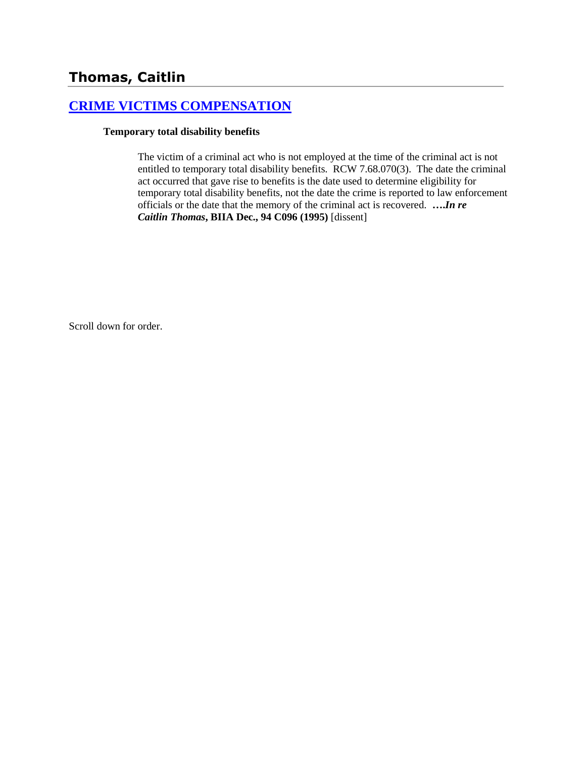## **[CRIME VICTIMS COMPENSATION](http://www.biia.wa.gov/SDSubjectIndex.html#CRIME_VICTIMS_COMPENSATION)**

#### **Temporary total disability benefits**

The victim of a criminal act who is not employed at the time of the criminal act is not entitled to temporary total disability benefits. RCW 7.68.070(3). The date the criminal act occurred that gave rise to benefits is the date used to determine eligibility for temporary total disability benefits, not the date the crime is reported to law enforcement officials or the date that the memory of the criminal act is recovered. **….***In re Caitlin Thomas***, BIIA Dec., 94 C096 (1995)** [dissent]

Scroll down for order.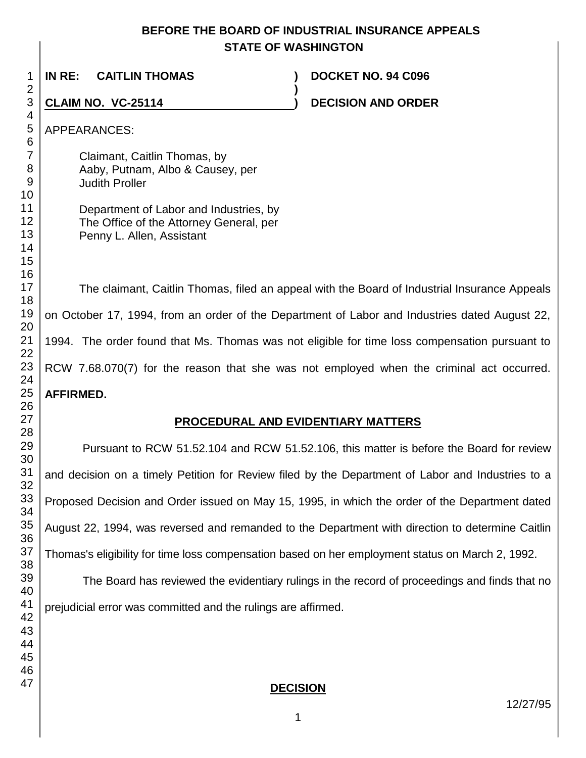## **BEFORE THE BOARD OF INDUSTRIAL INSURANCE APPEALS STATE OF WASHINGTON**

**)**

**IN RE: CAITLIN THOMAS ) DOCKET NO. 94 C096**

# **CLAIM NO. VC-25114 )**

**DECISION AND ORDER** 

APPEARANCES:

Claimant, Caitlin Thomas, by Aaby, Putnam, Albo & Causey, per Judith Proller

| Department of Labor and Industries, by  |
|-----------------------------------------|
| The Office of the Attorney General, per |
| Penny L. Allen, Assistant               |

The claimant, Caitlin Thomas, filed an appeal with the Board of Industrial Insurance Appeals on October 17, 1994, from an order of the Department of Labor and Industries dated August 22, 1994. The order found that Ms. Thomas was not eligible for time loss compensation pursuant to RCW 7.68.070(7) for the reason that she was not employed when the criminal act occurred. **AFFIRMED.**

# **PROCEDURAL AND EVIDENTIARY MATTERS**

Pursuant to RCW 51.52.104 and RCW 51.52.106, this matter is before the Board for review and decision on a timely Petition for Review filed by the Department of Labor and Industries to a Proposed Decision and Order issued on May 15, 1995, in which the order of the Department dated August 22, 1994, was reversed and remanded to the Department with direction to determine Caitlin Thomas's eligibility for time loss compensation based on her employment status on March 2, 1992.

The Board has reviewed the evidentiary rulings in the record of proceedings and finds that no prejudicial error was committed and the rulings are affirmed.

## **DECISION**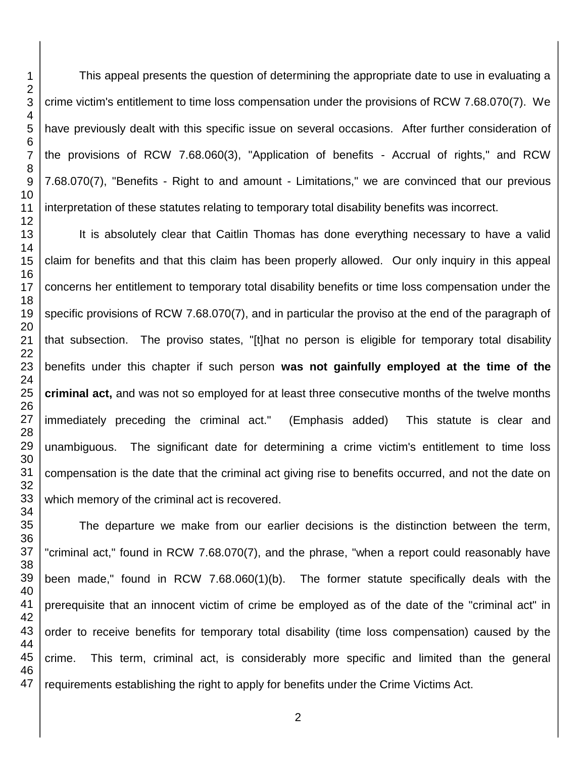This appeal presents the question of determining the appropriate date to use in evaluating a crime victim's entitlement to time loss compensation under the provisions of RCW 7.68.070(7). We have previously dealt with this specific issue on several occasions. After further consideration of the provisions of RCW 7.68.060(3), "Application of benefits - Accrual of rights," and RCW 7.68.070(7), "Benefits - Right to and amount - Limitations," we are convinced that our previous interpretation of these statutes relating to temporary total disability benefits was incorrect.

It is absolutely clear that Caitlin Thomas has done everything necessary to have a valid claim for benefits and that this claim has been properly allowed. Our only inquiry in this appeal concerns her entitlement to temporary total disability benefits or time loss compensation under the specific provisions of RCW 7.68.070(7), and in particular the proviso at the end of the paragraph of that subsection. The proviso states, "[t]hat no person is eligible for temporary total disability benefits under this chapter if such person **was not gainfully employed at the time of the criminal act,** and was not so employed for at least three consecutive months of the twelve months immediately preceding the criminal act." (Emphasis added) This statute is clear and unambiguous. The significant date for determining a crime victim's entitlement to time loss compensation is the date that the criminal act giving rise to benefits occurred, and not the date on which memory of the criminal act is recovered.

The departure we make from our earlier decisions is the distinction between the term, "criminal act," found in RCW 7.68.070(7), and the phrase, "when a report could reasonably have been made," found in RCW 7.68.060(1)(b). The former statute specifically deals with the prerequisite that an innocent victim of crime be employed as of the date of the "criminal act" in order to receive benefits for temporary total disability (time loss compensation) caused by the crime. This term, criminal act, is considerably more specific and limited than the general requirements establishing the right to apply for benefits under the Crime Victims Act.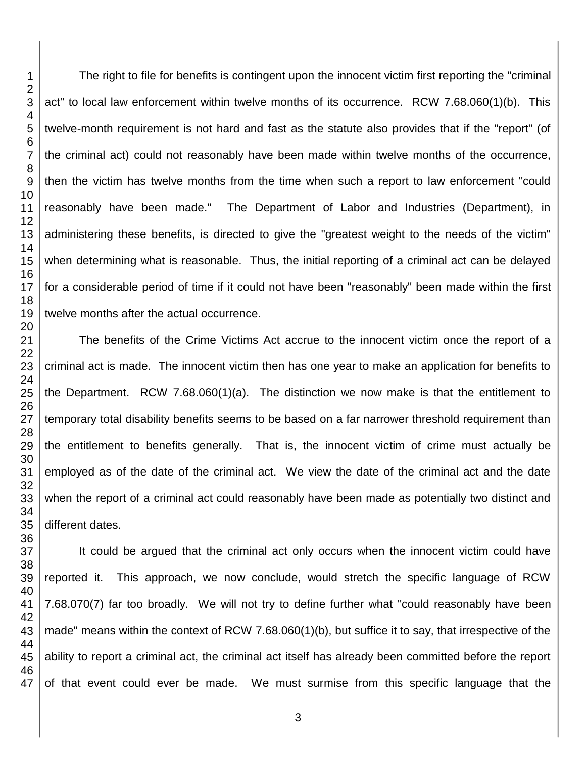The right to file for benefits is contingent upon the innocent victim first reporting the "criminal act" to local law enforcement within twelve months of its occurrence. RCW 7.68.060(1)(b). This twelve-month requirement is not hard and fast as the statute also provides that if the "report" (of the criminal act) could not reasonably have been made within twelve months of the occurrence, then the victim has twelve months from the time when such a report to law enforcement "could reasonably have been made." The Department of Labor and Industries (Department), in administering these benefits, is directed to give the "greatest weight to the needs of the victim" when determining what is reasonable. Thus, the initial reporting of a criminal act can be delayed for a considerable period of time if it could not have been "reasonably" been made within the first twelve months after the actual occurrence.

The benefits of the Crime Victims Act accrue to the innocent victim once the report of a criminal act is made. The innocent victim then has one year to make an application for benefits to the Department. RCW 7.68.060(1)(a). The distinction we now make is that the entitlement to temporary total disability benefits seems to be based on a far narrower threshold requirement than the entitlement to benefits generally. That is, the innocent victim of crime must actually be employed as of the date of the criminal act. We view the date of the criminal act and the date when the report of a criminal act could reasonably have been made as potentially two distinct and different dates.

It could be argued that the criminal act only occurs when the innocent victim could have reported it. This approach, we now conclude, would stretch the specific language of RCW 7.68.070(7) far too broadly. We will not try to define further what "could reasonably have been made" means within the context of RCW 7.68.060(1)(b), but suffice it to say, that irrespective of the ability to report a criminal act, the criminal act itself has already been committed before the report of that event could ever be made. We must surmise from this specific language that the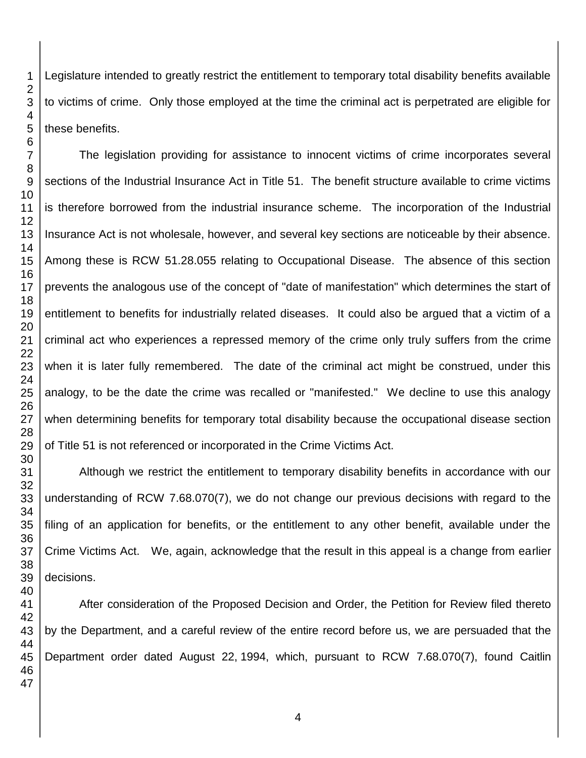Legislature intended to greatly restrict the entitlement to temporary total disability benefits available to victims of crime. Only those employed at the time the criminal act is perpetrated are eligible for these benefits.

The legislation providing for assistance to innocent victims of crime incorporates several sections of the Industrial Insurance Act in Title 51. The benefit structure available to crime victims is therefore borrowed from the industrial insurance scheme. The incorporation of the Industrial Insurance Act is not wholesale, however, and several key sections are noticeable by their absence. Among these is RCW 51.28.055 relating to Occupational Disease. The absence of this section prevents the analogous use of the concept of "date of manifestation" which determines the start of entitlement to benefits for industrially related diseases. It could also be argued that a victim of a criminal act who experiences a repressed memory of the crime only truly suffers from the crime when it is later fully remembered. The date of the criminal act might be construed, under this analogy, to be the date the crime was recalled or "manifested." We decline to use this analogy when determining benefits for temporary total disability because the occupational disease section of Title 51 is not referenced or incorporated in the Crime Victims Act.

Although we restrict the entitlement to temporary disability benefits in accordance with our understanding of RCW 7.68.070(7), we do not change our previous decisions with regard to the filing of an application for benefits, or the entitlement to any other benefit, available under the Crime Victims Act. We, again, acknowledge that the result in this appeal is a change from earlier decisions.

After consideration of the Proposed Decision and Order, the Petition for Review filed thereto by the Department, and a careful review of the entire record before us, we are persuaded that the Department order dated August 22, 1994, which, pursuant to RCW 7.68.070(7), found Caitlin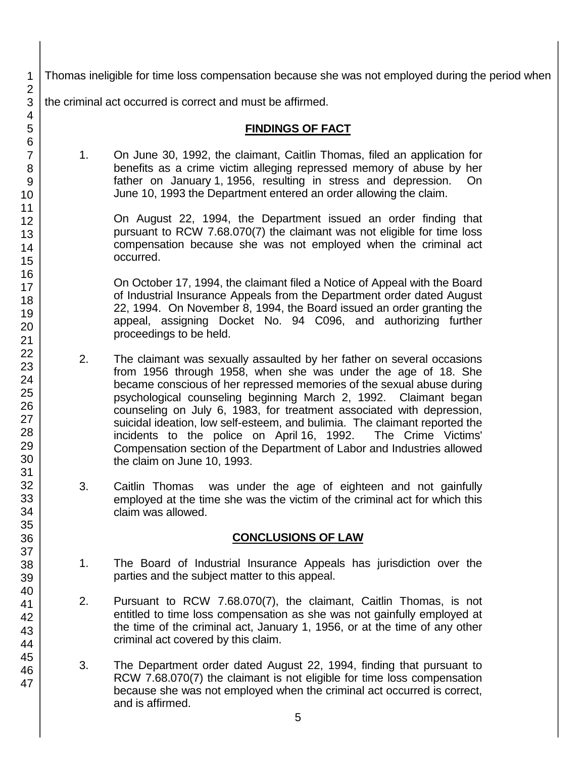Thomas ineligible for time loss compensation because she was not employed during the period when the criminal act occurred is correct and must be affirmed.

### **FINDINGS OF FACT**

1. On June 30, 1992, the claimant, Caitlin Thomas, filed an application for benefits as a crime victim alleging repressed memory of abuse by her father on January 1, 1956, resulting in stress and depression. On June 10, 1993 the Department entered an order allowing the claim.

On August 22, 1994, the Department issued an order finding that pursuant to RCW 7.68.070(7) the claimant was not eligible for time loss compensation because she was not employed when the criminal act occurred.

On October 17, 1994, the claimant filed a Notice of Appeal with the Board of Industrial Insurance Appeals from the Department order dated August 22, 1994. On November 8, 1994, the Board issued an order granting the appeal, assigning Docket No. 94 C096, and authorizing further proceedings to be held.

- 2. The claimant was sexually assaulted by her father on several occasions from 1956 through 1958, when she was under the age of 18. She became conscious of her repressed memories of the sexual abuse during psychological counseling beginning March 2, 1992. Claimant began counseling on July 6, 1983, for treatment associated with depression, suicidal ideation, low self-esteem, and bulimia. The claimant reported the incidents to the police on April 16, 1992. The Crime Victims' Compensation section of the Department of Labor and Industries allowed the claim on June 10, 1993.
- 3. Caitlin Thomas was under the age of eighteen and not gainfully employed at the time she was the victim of the criminal act for which this claim was allowed.

## **CONCLUSIONS OF LAW**

- 1. The Board of Industrial Insurance Appeals has jurisdiction over the parties and the subject matter to this appeal.
- 2. Pursuant to RCW 7.68.070(7), the claimant, Caitlin Thomas, is not entitled to time loss compensation as she was not gainfully employed at the time of the criminal act, January 1, 1956, or at the time of any other criminal act covered by this claim.
- 3. The Department order dated August 22, 1994, finding that pursuant to RCW 7.68.070(7) the claimant is not eligible for time loss compensation because she was not employed when the criminal act occurred is correct, and is affirmed.

47

1 2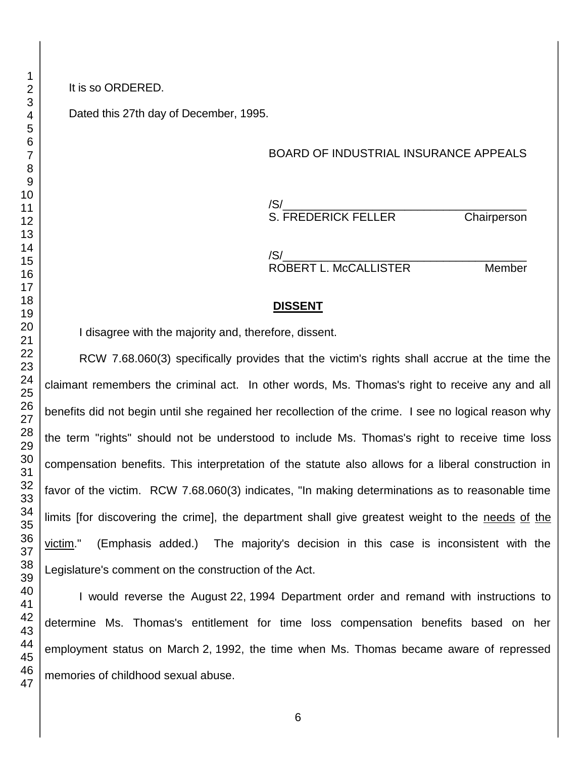#### It is so ORDERED.

Dated this 27th day of December, 1995.

### BOARD OF INDUSTRIAL INSURANCE APPEALS

/S/\_\_\_\_\_\_\_\_\_\_\_\_\_\_\_\_\_\_\_\_\_\_\_\_\_\_\_\_\_\_\_\_\_\_\_\_\_\_ S. FREDERICK FELLER Chairperson

/S/\_\_\_\_\_\_\_\_\_\_\_\_\_\_\_\_\_\_\_\_\_\_\_\_\_\_\_\_\_\_\_\_\_\_\_\_\_\_ ROBERT L. McCALLISTER Member

#### **DISSENT**

I disagree with the majority and, therefore, dissent.

RCW 7.68.060(3) specifically provides that the victim's rights shall accrue at the time the claimant remembers the criminal act. In other words, Ms. Thomas's right to receive any and all benefits did not begin until she regained her recollection of the crime. I see no logical reason why the term "rights" should not be understood to include Ms. Thomas's right to receive time loss compensation benefits. This interpretation of the statute also allows for a liberal construction in favor of the victim. RCW 7.68.060(3) indicates, "In making determinations as to reasonable time limits [for discovering the crime], the department shall give greatest weight to the needs of the victim." (Emphasis added.) The majority's decision in this case is inconsistent with the Legislature's comment on the construction of the Act.

I would reverse the August 22, 1994 Department order and remand with instructions to determine Ms. Thomas's entitlement for time loss compensation benefits based on her employment status on March 2, 1992, the time when Ms. Thomas became aware of repressed memories of childhood sexual abuse.